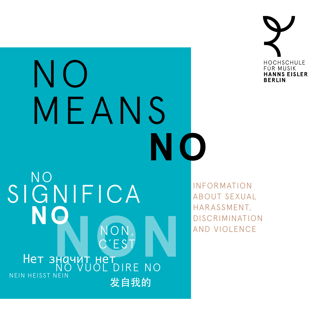

# **MEANS** NO No **No**

**NON** NON.<br>
C'EST<br>NO VUOL DIRE NO NEIN HEISST NEIN NEIN 1997 SALE SE START SEATS THE SEATS THE START SEATS THE START SEATS THE START S Нет значит нет, SIGNIFICA **NO** 

Information about Sexual Harassment, Discrimination and Violence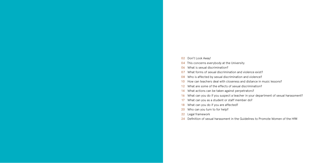- Don't Look Away!
- This concerns everybody at the University
- What is sexual discrimination?
- What forms of sexual discrimination and violence exist?
- Who is affected by sexual discrimination and violence?
- How can teachers deal with closeness and distance in music lessons?
- What are some of the effects of sexual discrimination?
- What actions can be taken against perpetrators?
- What can you do if you suspect a teacher in your department of sexual harassment?
- What can you as a student or staff member do?
- What can you do if you are affected?
- Who can you turn to for help?
- Legal framework
- 24 Definition of sexual harassment in the Guidelines to Promote Women of the HfM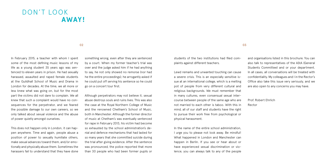# Don't Look **Away!**

## **02**

In February 2015, a teacher with whom I spent some of the most defining music lessons of my life as a young student 35 years ago was sentenced to eleven years in prison. He had sexually harassed, assaulted and raped female students at the Guildhall School of Music and Drama in London for decades. At the time, we all more or less knew what was going on, but for the most part the victims did not dare to complain. We all knew that such a complaint would have no consequences for the perpetrator, and we feared the possible damage to our own careers, so we only talked about sexual violence and the abuse of power quietly amongst ourselves.

This does not happen only in London, it can happen anywhere. Time and again, people abuse a position of power to sexually humiliate others, make sexual advances toward them, and/or emotionally and physically abuse them. Sometimes the harassers fail to understand that they have done

something wrong, even after they are sentenced by a court. When my former teacher's trial was over and the judge asked him if he had anything to say, he not only showed no remorse (nor had he the entire proceedings); he arrogantly asked if he could put off serving his sentence so he could go on a concert tour first.

Although perpetrators may not believe it, sexual abuse destroys souls and ruins lives. This was also the case at the Royal Northern College of Music and the renowned Chetham's School of Music, both in Manchester. Although the former director of music at Chetham's was eventually sentenced for rape in February 2013, his victim had become so exhausted by the school administration's denial and defence mechanisms that had lasted for so many years that she committed suicide during the trial after giving evidence. After the sentence was pronounced, the police reported that more than 30 people who had been former pupils or

students of the two institutions had filed complaints against different teachers.

Lewd remarks and unwanted touching can cause a severe crisis. This is an especially sensitive issue at an international college, which is a melting pot of people from very different cultural and religious backgrounds. We must remember that in many cultures, even consensual sexual intercourse between people of the same age who are not married to each other is taboo. With this in mind, all of our staff and students have the right to pursue their work free from psychological or physical harassment.

In the name of the entire school administration, I urge you to please not look away. Be mindful! What happened in London and Manchester can happen in Berlin. If you see or hear about or have experienced sexual discrimination or violence, you can always talk to any of the people

**03**

and organisations listed in this brochure. You can also talk to representatives of the AStA (General Students Committee) and or your department. In all cases, all conversations will be treated with confidentiality. My colleagues and I in the Rector's Office also take this issue very seriously, and we are also open to any concerns you may have.

Prof. Robert Ehrlich Rector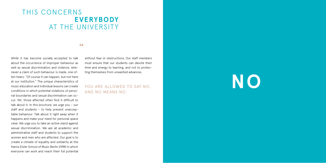# This concerns **everybody** AT THE UNIVERSITY

### **04 05**

While it has become socially accepted to talk about the occurrence of improper behaviour as well as sexual discrimination and violence, whenever a claim of such behaviour is made, one often hears: "Of course it can happen, but not here at our institution." The unique characteristics of music education and individual lessons can create conditions in which potential violations of personal boundaries and sexual discrimination can occur. Yet, those affected often find it difficult to talk about it. In this brochure, we urge you – our staff and students – to help prevent unacceptable behaviour. Talk about it right away when it happens and make your need for personal space clear. We urge you to take an active stand against sexual discrimination. We ask all academic and administrative staff and students to support the women and men who are affected. Our goal is to create a climate of equality and solidarity at the Hanns Eisler School of Music Berlin (HfM) in which everyone can work and reach their full potential

without fear or obstructions. Our staff members must ensure that our students can devote their time and energy to learning, and not to protecting themselves from unwanted advances.

YOU ARE ALLOWED TO SAY NO and NO means NO.

**no**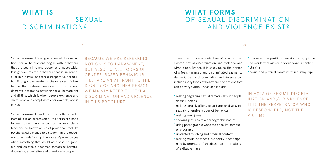# **What is** sexual discrimination?

# **What forms**  of sexual discrimination and violence exist?

There is no universal definition of what is considered sexual discrimination and violence and what is not. Rather, it is solely up to the person who feels harassed and discriminated against to define it. Sexual discrimination and violence can include many types of behaviour and actions that can be very subtle. These can include:

- **•** making degrading sexual remarks about people or their bodies
- **•** making sexually offensive gestures or displaying sexually offensive modes of behaviour
- **•** making lewd jokes
- **•** showing pictures of a pornographic nature
- **•** using pornographic websites or sexist computer programs
- **•** unwanted touching and physical contact
- **•** making sexual advances, especially if accompanied by promises of an advantage or threatens of a disadvantage

**•** unwanted propositions, emails, texts, phone calls or letters with an obvious sexual intention **•** stalking

**•** sexual and physical harassment, including rape

In acts of sexual discrimination and / or violence, it is the perpetrator who is responsible, not the victim!

Sexual harassment is a type of sexual discrimination. Sexual harassment begins with behaviour that crosses a line and becomes unacceptable. It is gender-related behaviour that is (in general or in a particular case) disrespectful, harmful, humiliating and unwanted to the receiver. It is behaviour that is always one-sided. This is the fundamental difference between sexual harassment and flirting, which is when people exchange and share looks and compliments, for example, and is mutual.

Sexual harassment has little to do with sexuality. Instead, it is an expression of the harasser's need to feel powerful and in control. For example, a teacher's deliberate abuse of power can feel like psychological violence to a student. In the teacher-student relationship, the abuse of power begins when something that would otherwise be good, fun and enjoyable becomes something harmful, distressing, exploitative and therefore improper.

Because we are referring not only to harassment, but also to all forms of gender-based behaviour that are an affront to the DIGNITY OF ANOTHER PERSON. WE MAINIY REFER TO SEXUAL discrimination and violence in this brochure.

## **06 07**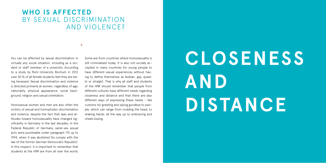# **Who is affected**  by sexual discrimination and violence?

### **8**

You can be affected by sexual discrimination in virtually any social situation, including as a student or staff member of a university. According to a study by Ruhr-University Bochum in 2012 over 50 % of all female students feel they are being herassed. Sexual discrimination and violence is directed primarily at women, regardless of age, nationality, physical appearance, social background, religion and sexual orientation.

Homosexual women and men are also often the victims of sexual and homophobic discrimination and violence, despite the fact that laws and attitudes toward homosexuality have changed significantly in Germany in the last decades. In the Federal Republic of Germany, same-sex sexual acts were punishable under paragraph 175 up to 1994, when it was abolished (to comply with the law of the former German Democratic Republic). In this respect, it is important to remember that students at the HfM are from all over the world.

Some are from countries where homosexuality is still criminalised today. It is also not socially accepted in many countries for young people to have different sexual experiences without having to define themselves as lesbian, gay, queer, bi or straight. That is why all staff and students of the HfM should remember that people from different cultures have different needs regarding closeness and distance and that there are also different ways of expressing these needs – like customs for greeting and saying goodbye to people, which can range from nodding the head, to shaking hands, all the way up to embracing and cheek kissing.

# **closeness and DISTANCE**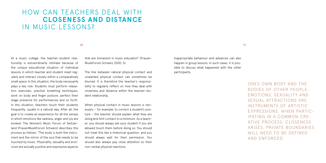## How can teachers deal with **closeness and distance**  IN MUSIC LESSONS?

## **10**

At a music college, the teacher-student relationship is extraordinarily intimate because of the unique educational situation of individual lessons in which teacher and student meet regularly and interact closely within a comparatively small space. In this situation, the body necessarily plays a key role. Students must perform relaxation exercises, practise breathing techniques, work on body and finger posture, perfect their stage presence for performances and so forth. In this situation, teachers touch their students frequently, usually in a natural way. After all, the goal is to create an experience for all the senses in which emotions like sadness, anger and joy are evoked. The Women's Music Forum of Switzerland (FrauenMusikForum Schweiz) describes this process as follows: "The body is both the instrument and the mirror of the soul that needs to be touched by music. Physicality, sexuality and eroticism are actually positive and expressive aspects

that are immanent in music education" (Frauen-MusikForum Schweiz 2000, 5).

The line between natural physical contact and unwanted physical contact can sometimes be blurred. It is therefore the teacher's responsibility to regularly reflect on how they deal with closeness and distance within the teacher-student relationship.

When physical contact in music lessons is necessary – for example, to correct a student's posture – the teacher should explain what they are doing and limit contact to a minimum. As a teacher, you should always ask your student if you are allowed touch them before doing so. You should not treat this like a rhetorical question, and you should always wait for their permission. You should also always pay close attention to their non-verbal physical reactions.

Inappropriate behaviour and advances can also happen in group lessons. In such cases, it is possible to discuss what happened with the other participants.

**11**

ONES OWN BODY AND THE bodies of other people, EMOTIONS, SEXUALITY AND sexual attractions are instruments of artistic expressions. When participating in a common creative process, closeness arises. Private boundaries WILL NEED TO BE DEFINED and enforced.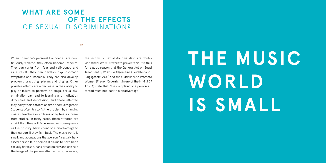# **What are some of the effects**  of sexual discrimination?

## **12**

When someone's personal boundaries are continuously violated, they often become insecure. They can suffer from fear and self-doubt, and as a result, they can develop psychosomatic symptoms and insomnia. They can also develop problems practising, playing and singing. Other possible effects are a decrease in their ability to play or failure to perform on stage. Sexual discrimination can lead to learning and motivation difficulties and depression, and those affected may delay their careers or drop them altogether. Students often try to fix the problem by changing classes, teachers or colleges or by taking a break from studies. In many cases, those affected are afraid that they will face negative consequences like hostility, harassment or a disadvantage to their careers if they fight back. The music world is small, and accusations that person A sexually harassed person B, or person B claims to have been sexually harassed, can spread quickly and can ruin the image of the person affected. In other words, the victims of sexual discrimination are doubly victimised. We must work to prevent this. It is thus for a good reason that the General Act on Equal Treatment (§ 12 Abs. 4 Allgemeine Gleichbehandlungsgesetz, AGG) and the Guidelines to Promote Women (Frauenförderrichtlinien) of the HfM (§ 27 Abs. 4) state that "the complaint of a person affected must not lead to a disadvantage".

# **The music WORLD is small**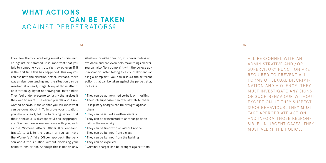# **What actions can be taken** against perpetrators?

## **14**

If you feel that you are being sexually discriminated against or harassed, it is important that you talk to someone you trust right away, even if it is the first time this has happened. This way you can evaluate the situation better. Perhaps, there was a misunderstanding and the situation can be resolved at an early stage. Many of those affected later feel guilty for not having set limits earlier. They feel under pressure to justify themselves if they wait to react. The earlier you talk about unwanted behaviour, the sooner you will know what can be done about it. To improve your situation, you should clearly tell the harassing person that their behaviour is disrespectful and inappropriate. You can have someone come with you, such as the Women's Affairs Officer (Frauenbeauftragte), to talk to the person or you can have the Women's Affairs Officer approach the person about the situation without disclosing your name to him or her. Although this is not an easy situation for either person, it is nevertheless unavoidable and can even help make things clearer. You can also file a complaint with the college administration. After talking to a counsellor and/or filing a complaint, you can discuss the different actions that can be taken against the perpetrator, including:

- **•** They can be admonished verbally or in writing **•** Their job supervisor can officially talk to them **•** Disciplinary charges can be brought against them
- **•** Shey can be issued a written warning
- **•** They can be transferred to another position within the university
- **•** They can be fired with or without notice
- **•** They can be banned from a class
- **•** They can be banned from the building
- **•** They can be expelled
- **•** Criminal charges can be brought against them

**15**

All personnel with an administrative and / or supervisory function are required to prevent all forms of sexual discrimination and violence. They must investigate any signs of such behaviour without exception. If they suspect such behaviour, they must take appropriate action and inform those responsible. In urgent cases, they must alert the police.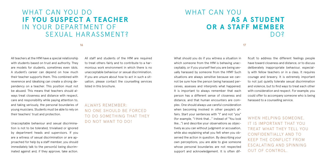# WHAT CAN YOU DO **if you suspect a teacher** in your department of sexual harassment?

### **16**

All teachers at the HfM have a special relationship with students based on trust and authority. They are models for students, sometimes even idols. A student's career can depend on how much their teacher supports them. This combined with reverence and idealising can create a strong dependency on a teacher. This position must not be abused. This means that teachers should always treat closeness and distance with respect, care and responsibility while paying attention to, and taking seriously, the personal boundaries of young musicians. Students must be able to rely on their teachers' trust and protection.

Unacceptable behaviour and sexual discrimination is not to be tolerated, trivialised or ignored by department heads and supervisors. If you are a witness of sexual discrimination or are approached for help by a staff member, you should immediately talk to the person(s) being discriminated against and, if they approve, take action. All staff and students of the HfM are required to treat others fairly and to contribute to a harmonious work environment in which there is no unacceptable behaviour or sexual discrimination. If you are unsure about how to act in such a situation, please contact the counselling services listed in this brochure.

## Always remember: No one should be forced to do something that they do not want to do!

# WHAT CAN YOU **as a student or a staff member**  DO<sub>s</sub>

## **17**

What should you do if you witness a situation in which someone from the HfM is behaving unacceptably, or if you yourself feel you are being sexually harassed by someone from the HfM? Such situations are always sensitive because we cannot be sure how the person being harassed perceives, assesses and interprets what happened. It is important to always remember that each person has a different sense of closeness and distance, and that human encounters are complex. One should always use careful consideration when becoming involved in other people's affairs. Start your sentences with "I" and not "you" (for example, "I think that…" instead of "You look like…") and describe your observations as objectively as you can without judgment or accusation, while also explaining what you felt when you observed the action in question. By describing your own perceptions, you are able to give someone whose personal boundaries are not respected support and acknowledgement. It is often dif-

ficult to address the different feelings people have toward closeness and distance, or to discuss deliberately inappropriate behaviour, especially with fellow teachers or in a class. It requires courage and bravery. It is extremely important to not just quietly tolerate sexual discrimination and violence, but to find ways to treat each other with consideration and respect. For example, you could offer to accompany someone who is being harassed to a counselling service.

WHEN HELPING SOMEONE it is important that you treat what they tell you confidentially and to keep the conflict from escalating and spinning out of control.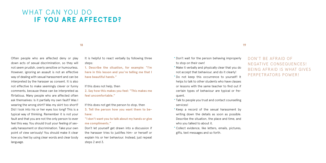# WHAT CAN YOU DO **if you are affected?**

## **18**

Often people who are affected deny or play down acts of sexual discrimination, so they will not seem prudish, overly sensitive or humourless. However, ignoring an assault is not an effective way of dealing with sexual harassment and can be interpreted by the harasser as consent. It is also not effective to make seemingly clever or funny comments, because these can be interpreted as flirtatious. Many people who are affected often ask themselves: Is it partially my own fault? Was I wearing the wrong shirt? Was my skirt too short? Did I look into his or her eyes too long? This is a typical way of thinking. Remember it is not your fault and that you are not the only person to ever feel this way. You should trust your feeling of sexually harassment or discrimination. Take your own point of view seriously! You should make it clear how you feel by using clear words and clear body language.

It is helpful to react verbally by following three steps:

**1. Describe the situation, for example: "I'm here in this lesson and you're telling me that I have beautiful hands."**

If this does not help, then **2. Say how this makes you feel: "This makes me feel uncomfortable."**

If this does not get the person to stop, then **3. Tell the person how you want them to behave:**

**"I don't want you to talk about my hands or give me compliments."**

Don't let yourself get drawn into a discussion if the harasser tries to justifies him- or herself or explain his or her behaviour. Instead, just repeat steps 2 and 3.

**•** Don't wait for the person behaving improperly to stop on their own!

**19**

- **•** Make it verbally and physically clear that you do not accept that behaviour, and do it clearly!
- **•** Do not keep this occurrence to yourself! It helps to talk to other students who have classes or lessons with the same teacher to find out if certain types of behaviour are typical or frequent.
- **•** Talk to people you trust and contact counselling services!
- **•** Keep a record of the sexual harassment by writing down the details as soon as possible. Describe the situation, the place and time, and who you talked to about it.
- **•** Collect evidence, like letters, emails, pictures, gifts, text messages and so forth.

Don't be afraid of negative consequences! Being afraid is what gives perpetrators power!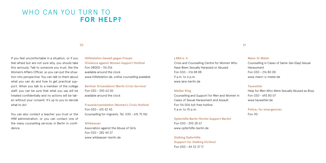# WHO CAN YOU TURN TO **for help?**

## **20**

If you feel uncomfortable in a situation, or if you feel afraid but are not sure why, you should take this seriously. Talk to someone you trust, like the Women's Affairs Officer, so you can put the situation into perspective. You can talk to them about what you can do and how to get practical support. When you talk to a member of the college staff, you can be sure that what you say will be treated confidentially and no actions will be taken without your consent. It's up to you to decide what to do!

You can also contact a teacher you trust or the HfM administration, or you can contact one of the many counselling services in Berlin in confidence.

**Hilfetelefon Gewalt gegen Frauen (Violence against Women Support Hotline)** Fon 08000 – 116 016 available around the clock www.hilfetelefon.de, online counselling available

**Berliner Krisendienst (Berlin Crisis Service)** Fon 030 – 390 63 00 available around the clock

**Frauenkrisentelefon (Women's Crisis Hotline)** Fon 030 – 615 42 43 (counselling for migrants: Tel. 030 – 615 75 96)

## **Wildwasser**

Association against the Abuse of Girls Fon 030 – 282 44 27 www.wildwasser-berlin.de

## **LARA e. V.**

Crisis and Counselling Centre for Women Who Have Been Sexually Harassed or Abused Fon 030 – 216 88 88 9 a.m. to 6 p.m. www.lara-berlin.de

## **Weißer Ring**

Counselling and Support for Men and Women in Cases of Sexual Harassment and Assault Fon 116 006 toll-free hotline 9 a.m. to 10 p.m.

**Opferhilfe Berlin (Victim Support Berlin)** Fon 030 – 395 28 67 www.opferhilfe-berlin.de

**Stalking Opferhilfe (Support for Stalking Victims)** Fon 030 – 44 32 37 17

### **21**

## **Mann-O-Meter**

Counselling in Cases of Same-Sex (Gay) Sexual Harassment Fon 030 – 216 80 08 www.mann-o-meter.de

## **Tauwetter**

Help for Men Who Were Sexually Abused as Boys Fon 030 – 693 80 07 www.tauwetter.de

**Police, for emergencies** Fon 110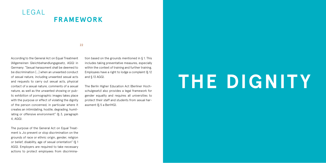## $IFGAI$ **framework**

## **22**

According to the General Act on Equal Treatment (Allgemeinen Gleichbehandlungsgesetz, AGG) in Germany: "Sexual harassment shall be deemed to be discrimination […] when an unwanted conduct of sexual nature, including unwanted sexual acts and requests to carry out sexual acts, physical contact of a sexual nature, comments of a sexual nature, as well as the unwanted showing or public exhibition of pornographic images takes place with the purpose or effect of violating the dignity of the person concerned, in particular where it creates an intimidating, hostile, degrading, humiliating or offensive environment" (§ 3, paragraph 4, AGG).

The purpose of the General Act on Equal Treatment is "to prevent or stop discrimination on the grounds of race or ethnic origin, gender, religion or belief, disability, age of sexual orientation" (§ 1 AGG). Employers are required to take necessary actions to protect employees from discrimination based on the grounds mentioned in § 1. This includes taking preventative measures, especially within the context of training and further training. Employees have a right to lodge a complaint (§ 12 and § 13 AGG).

The Berlin Higher Education Act (Berliner Hochschulgesetz) also provides a legal framework for gender equality and requires all universities to protect their staff and students from sexual harassment (§ 5 a BerlHG).

# **the dignity**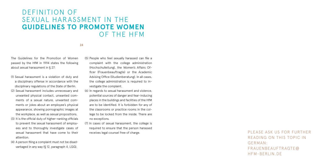# Definition of sexual harassment in the **Guidelines to Promote Women** of the HfM

## **24**

The Guidelines for the Promotion of Women passed by the HfM in 1994 states the following about sexual harassment in § 27:

- (1)   Sexual harassment is a violation of duty and a disciplinary offense in accordance with the disciplinary regulations of the State of Berlin.
- (2)   Sexual harassment includes unnecessary and unwanted physical contact, unwanted comments of a sexual nature, unwanted comments or jokes about an employee's physical appearance, showing pornographic images at the workplace, as well as sexual propositions.
- (3)   It is the official duty of higher-ranking officials to prevent the sexual harassment of employees and to thoroughly investigate cases of sexual harassment that have come to their attention.
- (4)   A person filing a complaint must not be disadvantaged in any way (§ 12, paragraph 4, LGG).

(5)  People who feel sexually harassed can file a complaint with the college administration (Hochschulleitung), the Women's Affairs Officer (Frauenbeauftragte) or the Academic Advising Office (Studienberatung). In all cases, the college administration is required to investigate the complaint.

- (6)   In regards to sexual harassment and violence, potential sources of danger and fear-inducing places in the buildings and facilities of the HfM are to be identified. It is forbidden for any of the classrooms or practice rooms in the college to be locked from the inside. There are no exceptions.
- (7)   In cases of sexual harassment, the college is required to ensure that the person harassed receives legal counsel free of charge.

Please ask us for further reading on this topic in GFRMAN: FRAUENBEAUFTRAGTE@ HFM-BERLIN.DE